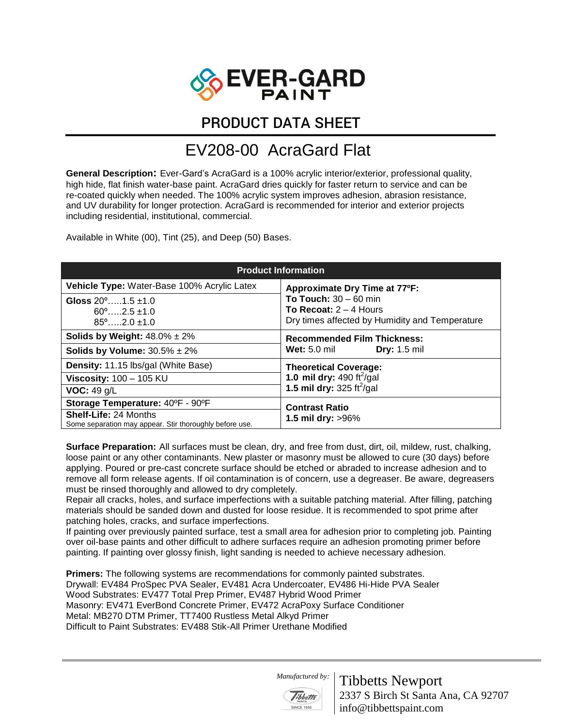

PRODUCT DATA SHEET

## EV208-00 AcraGard Flat

**General Description:** Ever-Gard's AcraGard is a 100% acrylic interior/exterior, professional quality, high hide, flat finish water-base paint. AcraGard dries quickly for faster return to service and can be re-coated quickly when needed. The 100% acrylic system improves adhesion, abrasion resistance, and UV durability for longer protection. AcraGard is recommended for interior and exterior projects including residential, institutional, commercial.

Available in White (00), Tint (25), and Deep (50) Bases.

| <b>Product Information</b>                                                              |                                                                                                       |
|-----------------------------------------------------------------------------------------|-------------------------------------------------------------------------------------------------------|
| Vehicle Type: Water-Base 100% Acrylic Latex                                             | Approximate Dry Time at 77°F:                                                                         |
| Gloss $20^{\circ}$ 1.5 ±1.0<br>$60^{\circ}$ 2.5 ±1.0<br>$85^{\circ}$ $2.0 + 1.0$        | To Touch: $30 - 60$ min<br>To Recoat: $2 - 4$ Hours<br>Dry times affected by Humidity and Temperature |
| <b>Solids by Weight:</b> $48.0\% \pm 2\%$                                               | <b>Recommended Film Thickness:</b>                                                                    |
| Solids by Volume: $30.5\% \pm 2\%$                                                      | <b>Wet:</b> $5.0 \text{ mil}$<br><b>Dry:</b> 1.5 mil                                                  |
| <b>Density:</b> 11.15 lbs/gal (White Base)                                              | <b>Theoretical Coverage:</b><br>1.0 mil dry: 490 ft $^2$ /gal                                         |
| Viscosity: $100 - 105$ KU                                                               |                                                                                                       |
| VOC: 49 g/L                                                                             | 1.5 mil dry: $325 \text{ ft}^2/\text{gal}$                                                            |
| Storage Temperature: 40°F - 90°F                                                        | <b>Contrast Ratio</b>                                                                                 |
| <b>Shelf-Life: 24 Months</b><br>Some separation may appear. Stir thoroughly before use. | 1.5 mil dry: >96%                                                                                     |

**Surface Preparation:** All surfaces must be clean, dry, and free from dust, dirt, oil, mildew, rust, chalking, loose paint or any other contaminants. New plaster or masonry must be allowed to cure (30 days) before applying. Poured or pre-cast concrete surface should be etched or abraded to increase adhesion and to remove all form release agents. If oil contamination is of concern, use a degreaser. Be aware, degreasers must be rinsed thoroughly and allowed to dry completely.

Repair all cracks, holes, and surface imperfections with a suitable patching material. After filling, patching materials should be sanded down and dusted for loose residue. It is recommended to spot prime after patching holes, cracks, and surface imperfections.

If painting over previously painted surface, test a small area for adhesion prior to completing job. Painting over oil-base paints and other difficult to adhere surfaces require an adhesion promoting primer before painting. If painting over glossy finish, light sanding is needed to achieve necessary adhesion.

**Primers:** The following systems are recommendations for commonly painted substrates. Drywall: EV484 ProSpec PVA Sealer, EV481 Acra Undercoater, EV486 Hi-Hide PVA Sealer Wood Substrates: EV477 Total Prep Primer, EV487 Hybrid Wood Primer Masonry: EV471 EverBond Concrete Primer, EV472 AcraPoxy Surface Conditioner Metal: MB270 DTM Primer, TT7400 Rustless Metal Alkyd Primer Difficult to Paint Substrates: EV488 Stik-All Primer Urethane Modified

 *Manufactured by:* 



Tibbetts Newport 2337 S Birch St Santa Ana, CA 92707 info@tibbettspaint.com